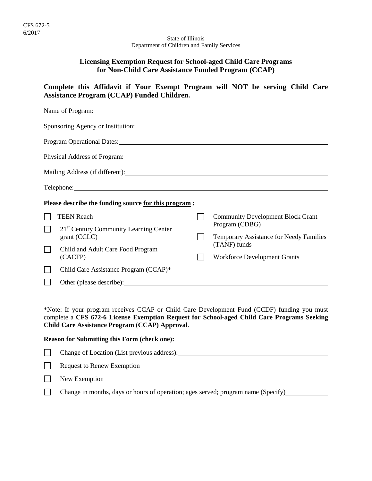#### State of Illinois Department of Children and Family Services

## **Licensing Exemption Request for School-aged Child Care Programs for Non-Child Care Assistance Funded Program (CCAP)**

**Complete this Affidavit if Your Exempt Program will NOT be serving Child Care Assistance Program (CCAP) Funded Children.**

| Name of Program: 1988 and 2008 and 2008 and 2008 and 2008 and 2008 and 2008 and 2008 and 2008 and 2008 and 200                                                                                                                       |                                                         |
|--------------------------------------------------------------------------------------------------------------------------------------------------------------------------------------------------------------------------------------|---------------------------------------------------------|
|                                                                                                                                                                                                                                      |                                                         |
|                                                                                                                                                                                                                                      |                                                         |
| Physical Address of Program: Manual Address of Program:                                                                                                                                                                              |                                                         |
|                                                                                                                                                                                                                                      |                                                         |
| Telephone: <u>and the contract of the contract of the contract of the contract of the contract of the contract of the contract of the contract of the contract of the contract of the contract of the contract of the contract o</u> |                                                         |
| Please describe the funding source for this program :                                                                                                                                                                                |                                                         |
| <b>TEEN Reach</b>                                                                                                                                                                                                                    | <b>Community Development Block Grant</b>                |
| 21 <sup>st</sup> Century Community Learning Center                                                                                                                                                                                   | Program (CDBG)                                          |
| grant (CCLC)                                                                                                                                                                                                                         | Temporary Assistance for Needy Families<br>(TANF) funds |
| Child and Adult Care Food Program<br>(CACFP)                                                                                                                                                                                         | <b>Workforce Development Grants</b>                     |
| Child Care Assistance Program (CCAP)*                                                                                                                                                                                                |                                                         |
| Other (please describe): Note that the same state of the state of the state of the state of the state of the state of the state of the state of the state of the state of the state of the state of the state of the state of        |                                                         |
|                                                                                                                                                                                                                                      |                                                         |

\*Note: If your program receives CCAP or Child Care Development Fund (CCDF) funding you must complete a **CFS 672-6 License Exemption Request for School-aged Child Care Programs Seeking Child Care Assistance Program (CCAP) Approval**.

## **Reason for Submitting this Form (check one):**

| Change of Location (List previous address): |
|---------------------------------------------|
| Request to Renew Exemption                  |
| New Exemption                               |

Change in months, days or hours of operation; ages served; program name (Specify)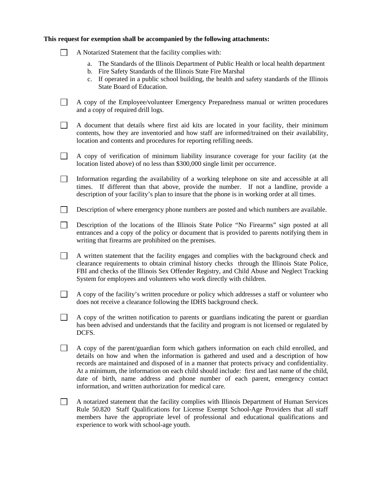# **This request for exemption shall be accompanied by the following attachments:**

|  | A Notarized Statement that the facility complies with:                                                                                                                                                                                                                                                                                                                                                                                                                                                                            |
|--|-----------------------------------------------------------------------------------------------------------------------------------------------------------------------------------------------------------------------------------------------------------------------------------------------------------------------------------------------------------------------------------------------------------------------------------------------------------------------------------------------------------------------------------|
|  | The Standards of the Illinois Department of Public Health or local health department<br>a.<br>Fire Safety Standards of the Illinois State Fire Marshal<br>b.<br>If operated in a public school building, the health and safety standards of the Illinois<br>c.<br>State Board of Education.                                                                                                                                                                                                                                       |
|  | A copy of the Employee/volunteer Emergency Preparedness manual or written procedures<br>and a copy of required drill logs.                                                                                                                                                                                                                                                                                                                                                                                                        |
|  | A document that details where first aid kits are located in your facility, their minimum<br>contents, how they are inventoried and how staff are informed/trained on their availability,<br>location and contents and procedures for reporting refilling needs.                                                                                                                                                                                                                                                                   |
|  | A copy of verification of minimum liability insurance coverage for your facility (at the<br>location listed above) of no less than \$300,000 single limit per occurrence.                                                                                                                                                                                                                                                                                                                                                         |
|  | Information regarding the availability of a working telephone on site and accessible at all<br>If different than that above, provide the number. If not a landline, provide a<br>times.<br>description of your facility's plan to insure that the phone is in working order at all times.                                                                                                                                                                                                                                         |
|  | Description of where emergency phone numbers are posted and which numbers are available.                                                                                                                                                                                                                                                                                                                                                                                                                                          |
|  | Description of the locations of the Illinois State Police "No Firearms" sign posted at all<br>entrances and a copy of the policy or document that is provided to parents notifying them in<br>writing that firearms are prohibited on the premises.                                                                                                                                                                                                                                                                               |
|  | A written statement that the facility engages and complies with the background check and<br>clearance requirements to obtain criminal history checks through the Illinois State Police,<br>FBI and checks of the Illinois Sex Offender Registry, and Child Abuse and Neglect Tracking<br>System for employees and volunteers who work directly with children.                                                                                                                                                                     |
|  | A copy of the facility's written procedure or policy which addresses a staff or volunteer who<br>does not receive a clearance following the IDHS background check.                                                                                                                                                                                                                                                                                                                                                                |
|  | A copy of the written notification to parents or guardians indicating the parent or guardian<br>has been advised and understands that the facility and program is not licensed or regulated by<br>DCFS.                                                                                                                                                                                                                                                                                                                           |
|  | A copy of the parent/guardian form which gathers information on each child enrolled, and<br>details on how and when the information is gathered and used and a description of how<br>records are maintained and disposed of in a manner that protects privacy and confidentiality.<br>At a minimum, the information on each child should include: first and last name of the child,<br>date of birth, name address and phone number of each parent, emergency contact<br>information, and written authorization for medical care. |
|  | A notarized statement that the facility complies with Illinois Department of Human Services<br>Rule 50.820 Staff Qualifications for License Exempt School-Age Providers that all staff<br>members have the appropriate level of professional and educational qualifications and<br>experience to work with school-age youth.                                                                                                                                                                                                      |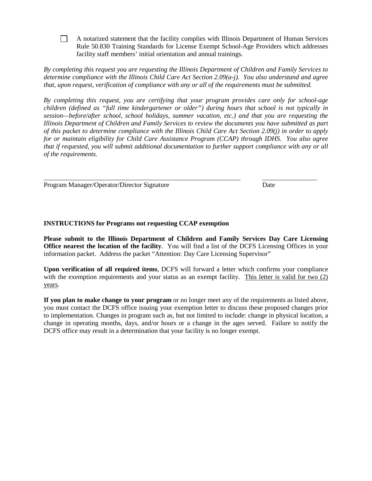$\Box$ A notarized statement that the facility complies with Illinois Department of Human Services Rule 50.830 Training Standards for License Exempt School-Age Providers which addresses facility staff members' initial orientation and annual trainings.

*By completing this request you are requesting the Illinois Department of Children and Family Services to determine compliance with the Illinois Child Care Act Section 2.09(a-j). You also understand and agree that, upon request, verification of compliance with any or all of the requirements must be submitted.* 

*By completing this request, you are certifying that your program provides care only for school-age children (defined as "full time kindergartener or older") during hours that school is not typically in session—before/after school, school holidays, summer vacation, etc.) and that you are requesting the Illinois Department of Children and Family Services to review the documents you have submitted as part of this packet to determine compliance with the Illinois Child Care Act Section 2.09(j) in order to apply for or maintain eligibility for Child Care Assistance Program (CCAP) through IDHS. You also agree that if requested, you will submit additional documentation to further support compliance with any or all of the requirements.*

Program Manager/Operator/Director Signature Date

## **INSTRUCTIONS for Programs not requesting CCAP exemption**

**Please submit to the Illinois Department of Children and Family Services Day Care Licensing Office nearest the location of the facility**. You will find a list of the DCFS Licensing Offices in your information packet. Address the packet "Attention: Day Care Licensing Supervisor"

**Upon verification of all required items**, DCFS will forward a letter which confirms your compliance with the exemption requirements and your status as an exempt facility. This letter is valid for two (2) years.

**If you plan to make change to your program** or no longer meet any of the requirements as listed above, you must contact the DCFS office issuing your exemption letter to discuss these proposed changes prior to implementation. Changes in program such as, but not limited to include: change in physical location, a change in operating months, days, and/or hours or a change in the ages served. Failure to notify the DCFS office may result in a determination that your facility is no longer exempt.